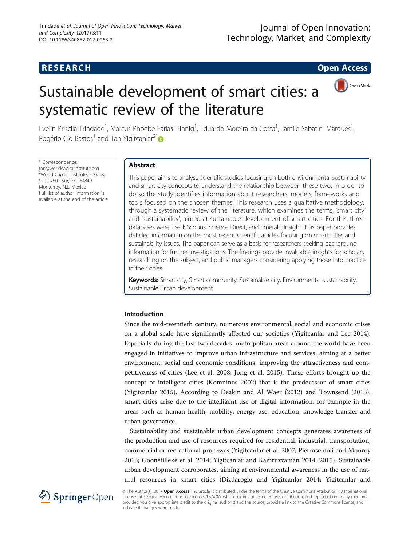# **RESEARCH RESEARCH CONSUMING ACCESS**

# Sustainable development of smart cities: a



Evelin Priscila Trindade<sup>1</sup>, Marcus Phoebe Farias Hinnig<sup>1</sup>, Eduardo Moreira da Costa<sup>1</sup>, Jamile Sabatini Marques<sup>1</sup> , Rogério Cid Bastos<sup>1</sup> and Tan Yigitcanlar<sup>2[\\*](http://orcid.org/0000-0001-7262-7118)</sup>

\* Correspondence: [tan@worldcapitalinstitute.org](mailto:tan@worldcapitalinstitute.org) <sup>2</sup>World Capital Institute, E. Garza Sada 2501 Sur, P.C. 64849, Monterrey, N.L, Mexico Full list of author information is available at the end of the article

# Abstract

systematic review of the literature

This paper aims to analyse scientific studies focusing on both environmental sustainability and smart city concepts to understand the relationship between these two. In order to do so the study identifies information about researchers, models, frameworks and tools focused on the chosen themes. This research uses a qualitative methodology, through a systematic review of the literature, which examines the terms, 'smart city' and 'sustainability', aimed at sustainable development of smart cities. For this, three databases were used: Scopus, Science Direct, and Emerald Insight. This paper provides detailed information on the most recent scientific articles focusing on smart cities and sustainability issues. The paper can serve as a basis for researchers seeking background information for further investigations. The findings provide invaluable insights for scholars researching on the subject, and public managers considering applying those into practice in their cities.

Keywords: Smart city, Smart community, Sustainable city, Environmental sustainability, Sustainable urban development

#### Introduction

Since the mid-twentieth century, numerous environmental, social and economic crises on a global scale have significantly affected our societies (Yigitcanlar and Lee [2014](#page-13-0)). Especially during the last two decades, metropolitan areas around the world have been engaged in initiatives to improve urban infrastructure and services, aiming at a better environment, social and economic conditions, improving the attractiveness and competitiveness of cities (Lee et al. [2008;](#page-12-0) Jong et al. [2015](#page-12-0)). These efforts brought up the concept of intelligent cities (Komninos [2002](#page-12-0)) that is the predecessor of smart cities (Yigitcanlar [2015](#page-12-0)). According to Deakin and Al Waer ([2012\)](#page-11-0) and Townsend ([2013](#page-12-0)), smart cities arise due to the intelligent use of digital information, for example in the areas such as human health, mobility, energy use, education, knowledge transfer and urban governance.

Sustainability and sustainable urban development concepts generates awareness of the production and use of resources required for residential, industrial, transportation, commercial or recreational processes (Yigitcanlar et al. [2007;](#page-13-0) Pietrosemoli and Monroy [2013](#page-12-0); Goonetilleke et al. [2014](#page-11-0); Yigitcanlar and Kamruzzaman [2014](#page-13-0), [2015\)](#page-13-0). Sustainable urban development corroborates, aiming at environmental awareness in the use of natural resources in smart cities (Dizdaroglu and Yigitcanlar [2014;](#page-11-0) Yigitcanlar and



© The Author(s). 2017 Open Access This article is distributed under the terms of the Creative Commons Attribution 4.0 International License [\(http://creativecommons.org/licenses/by/4.0/](http://creativecommons.org/licenses/by/4.0/)), which permits unrestricted use, distribution, and reproduction in any medium, provided you give appropriate credit to the original author(s) and the source, provide a link to the Creative Commons license, and indicate if changes were made.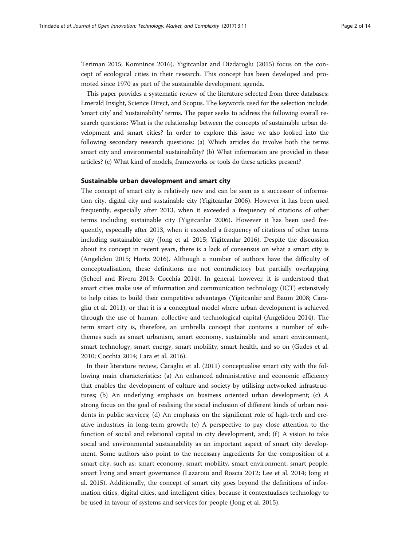Teriman [2015](#page-13-0); Komninos [2016\)](#page-12-0). Yigitcanlar and Dizdaroglu ([2015](#page-12-0)) focus on the concept of ecological cities in their research. This concept has been developed and promoted since 1970 as part of the sustainable development agenda.

This paper provides a systematic review of the literature selected from three databases: Emerald Insight, Science Direct, and Scopus. The keywords used for the selection include: 'smart city' and 'sustainability' terms. The paper seeks to address the following overall research questions: What is the relationship between the concepts of sustainable urban development and smart cities? In order to explore this issue we also looked into the following secondary research questions: (a) Which articles do involve both the terms smart city and environmental sustainability? (b) What information are provided in these articles? (c) What kind of models, frameworks or tools do these articles present?

### Sustainable urban development and smart city

The concept of smart city is relatively new and can be seen as a successor of information city, digital city and sustainable city (Yigitcanlar 2006). However it has been used frequently, especially after 2013, when it exceeded a frequency of citations of other terms including sustainable city (Yigitcanlar [2006](#page-12-0)). However it has been used frequently, especially after 2013, when it exceeded a frequency of citations of other terms including sustainable city (Jong et al. [2015;](#page-12-0) Yigitcanlar [2016\)](#page-12-0). Despite the discussion about its concept in recent years, there is a lack of consensus on what a smart city is (Angelidou [2015](#page-11-0); Hortz [2016\)](#page-11-0). Although a number of authors have the difficulty of conceptualisation, these definitions are not contradictory but partially overlapping (Scheel and Rivera [2013](#page-12-0); Cocchia [2014\)](#page-11-0). In general, however, it is understood that smart cities make use of information and communication technology (ICT) extensively to help cities to build their competitive advantages (Yigitcanlar and Baum [2008](#page-12-0); Caragliu et al. [2011\)](#page-11-0), or that it is a conceptual model where urban development is achieved through the use of human, collective and technological capital (Angelidou [2014](#page-11-0)). The term smart city is, therefore, an umbrella concept that contains a number of subthemes such as smart urbanism, smart economy, sustainable and smart environment, smart technology, smart energy, smart mobility, smart health, and so on (Gudes et al. [2010](#page-11-0); Cocchia [2014;](#page-11-0) Lara et al. [2016](#page-12-0)).

In their literature review, Caragliu et al. ([2011\)](#page-11-0) conceptualise smart city with the following main characteristics: (a) An enhanced administrative and economic efficiency that enables the development of culture and society by utilising networked infrastructures; (b) An underlying emphasis on business oriented urban development; (c) A strong focus on the goal of realising the social inclusion of different kinds of urban residents in public services; (d) An emphasis on the significant role of high-tech and creative industries in long-term growth; (e) A perspective to pay close attention to the function of social and relational capital in city development, and; (f) A vision to take social and environmental sustainability as an important aspect of smart city development. Some authors also point to the necessary ingredients for the composition of a smart city, such as: smart economy, smart mobility, smart environment, smart people, smart living and smart governance (Lazaroiu and Roscia [2012;](#page-12-0) Lee et al. [2014;](#page-12-0) Jong et al. [2015](#page-12-0)). Additionally, the concept of smart city goes beyond the definitions of information cities, digital cities, and intelligent cities, because it contextualises technology to be used in favour of systems and services for people (Jong et al. [2015\)](#page-12-0).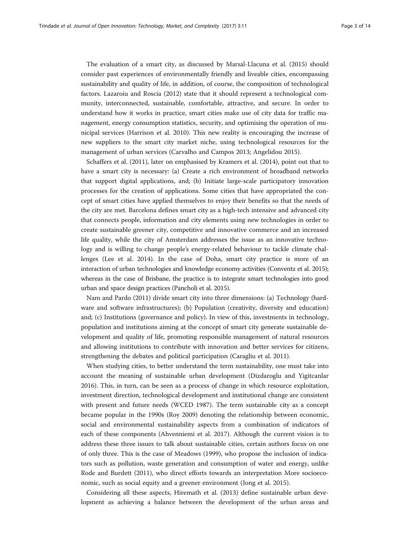The evaluation of a smart city, as discussed by Marsal-Llacuna et al. ([2015](#page-12-0)) should consider past experiences of environmentally friendly and liveable cities, encompassing sustainability and quality of life, in addition, of course, the composition of technological factors. Lazaroiu and Roscia [\(2012\)](#page-12-0) state that it should represent a technological community, interconnected, sustainable, comfortable, attractive, and secure. In order to understand how it works in practice, smart cities make use of city data for traffic management, energy consumption statistics, security, and optimising the operation of municipal services (Harrison et al. [2010](#page-11-0)). This new reality is encouraging the increase of new suppliers to the smart city market niche, using technological resources for the management of urban services (Carvalho and Campos [2013;](#page-11-0) Angelidou [2015\)](#page-11-0).

Schaffers et al. [\(2011](#page-12-0)), later on emphasised by Kramers et al. [\(2014\)](#page-12-0), point out that to have a smart city is necessary: (a) Create a rich environment of broadband networks that support digital applications, and; (b) Initiate large-scale participatory innovation processes for the creation of applications. Some cities that have appropriated the concept of smart cities have applied themselves to enjoy their benefits so that the needs of the city are met. Barcelona defines smart city as a high-tech intensive and advanced city that connects people, information and city elements using new technologies in order to create sustainable greener city, competitive and innovative commerce and an increased life quality, while the city of Amsterdam addresses the issue as an innovative technology and is willing to change people's energy-related behaviour to tackle climate challenges (Lee et al. [2014\)](#page-12-0). In the case of Doha, smart city practice is more of an interaction of urban technologies and knowledge economy activities (Conventz et al. [2015](#page-11-0)); whereas in the case of Brisbane, the practice is to integrate smart technologies into good urban and space design practices (Pancholi et al. [2015\)](#page-12-0).

Nam and Pardo [\(2011](#page-12-0)) divide smart city into three dimensions: (a) Technology (hardware and software infrastructures); (b) Population (creativity, diversity and education) and; (c) Institutions (governance and policy). In view of this, investments in technology, population and institutions aiming at the concept of smart city generate sustainable development and quality of life, promoting responsible management of natural resources and allowing institutions to contribute with innovation and better services for citizens, strengthening the debates and political participation (Caragliu et al. [2011\)](#page-11-0).

When studying cities, to better understand the term sustainability, one must take into account the meaning of sustainable urban development (Dizdaroglu and Yigitcanlar [2016](#page-11-0)). This, in turn, can be seen as a process of change in which resource exploitation, investment direction, technological development and institutional change are consistent with present and future needs (WCED [1987\)](#page-12-0). The term sustainable city as a concept became popular in the 1990s (Roy [2009](#page-12-0)) denoting the relationship between economic, social and environmental sustainability aspects from a combination of indicators of each of these components (Ahvenniemi et al. [2017](#page-11-0)). Although the current vision is to address these three issues to talk about sustainable cities, certain authors focus on one of only three. This is the case of Meadows [\(1999\)](#page-12-0), who propose the inclusion of indicators such as pollution, waste generation and consumption of water and energy, unlike Rode and Burdett [\(2011\)](#page-12-0), who direct efforts towards an interpretation More socioeconomic, such as social equity and a greener environment (Jong et al. [2015](#page-12-0)).

Considering all these aspects, Hiremath et al. ([2013](#page-11-0)) define sustainable urban development as achieving a balance between the development of the urban areas and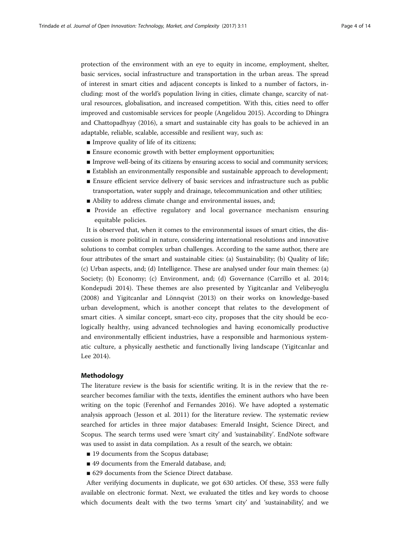protection of the environment with an eye to equity in income, employment, shelter, basic services, social infrastructure and transportation in the urban areas. The spread of interest in smart cities and adjacent concepts is linked to a number of factors, including: most of the world's population living in cities, climate change, scarcity of natural resources, globalisation, and increased competition. With this, cities need to offer improved and customisable services for people (Angelidou [2015\)](#page-11-0). According to Dhingra and Chattopadhyay ([2016\)](#page-11-0), a smart and sustainable city has goals to be achieved in an adaptable, reliable, scalable, accessible and resilient way, such as:

- Improve quality of life of its citizens;
- Ensure economic growth with better employment opportunities;
- Improve well-being of its citizens by ensuring access to social and community services;
- Establish an environmentally responsible and sustainable approach to development;
- Ensure efficient service delivery of basic services and infrastructure such as public transportation, water supply and drainage, telecommunication and other utilities;
- Ability to address climate change and environmental issues, and;
- Provide an effective regulatory and local governance mechanism ensuring equitable policies.

It is observed that, when it comes to the environmental issues of smart cities, the discussion is more political in nature, considering international resolutions and innovative solutions to combat complex urban challenges. According to the same author, there are four attributes of the smart and sustainable cities: (a) Sustainability; (b) Quality of life; (c) Urban aspects, and; (d) Intelligence. These are analysed under four main themes: (a) Society; (b) Economy; (c) Environment, and; (d) Governance (Carrillo et al. [2014](#page-11-0); Kondepudi [2014](#page-12-0)). These themes are also presented by Yigitcanlar and Velibeyoglu ([2008\)](#page-13-0) and Yigitcanlar and Lönnqvist ([2013\)](#page-13-0) on their works on knowledge-based urban development, which is another concept that relates to the development of smart cities. A similar concept, smart-eco city, proposes that the city should be ecologically healthy, using advanced technologies and having economically productive and environmentally efficient industries, have a responsible and harmonious systematic culture, a physically aesthetic and functionally living landscape (Yigitcanlar and Lee [2014](#page-13-0)).

### Methodology

The literature review is the basis for scientific writing. It is in the review that the researcher becomes familiar with the texts, identifies the eminent authors who have been writing on the topic (Ferenhof and Fernandes [2016\)](#page-11-0). We have adopted a systematic analysis approach (Jesson et al. [2011\)](#page-12-0) for the literature review. The systematic review searched for articles in three major databases: Emerald Insight, Science Direct, and Scopus. The search terms used were 'smart city' and 'sustainability'. EndNote software was used to assist in data compilation. As a result of the search, we obtain:

- 19 documents from the Scopus database;
- 49 documents from the Emerald database, and:
- 629 documents from the Science Direct database.

After verifying documents in duplicate, we got 630 articles. Of these, 353 were fully available on electronic format. Next, we evaluated the titles and key words to choose which documents dealt with the two terms 'smart city' and 'sustainability', and we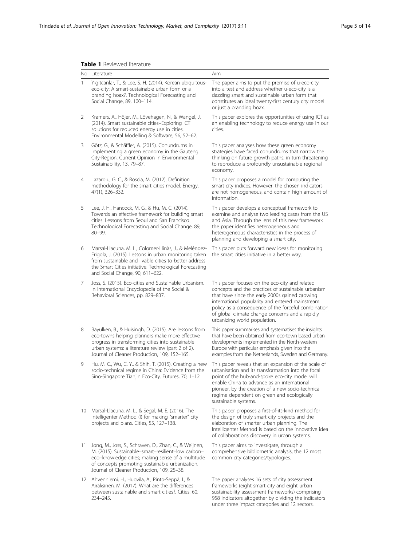# <span id="page-4-0"></span>Table 1 Reviewed literature

|              | No Literature                                                                                                                                                                                                                                                         | Aim                                                                                                                                                                                                                                                                                                                                                 |
|--------------|-----------------------------------------------------------------------------------------------------------------------------------------------------------------------------------------------------------------------------------------------------------------------|-----------------------------------------------------------------------------------------------------------------------------------------------------------------------------------------------------------------------------------------------------------------------------------------------------------------------------------------------------|
| $\mathbf{1}$ | Yigitcanlar, T., & Lee, S. H. (2014). Korean ubiquitous-<br>eco-city: A smart-sustainable urban form or a<br>branding hoax?. Technological Forecasting and<br>Social Change, 89, 100-114.                                                                             | The paper aims to put the premise of u-eco-city<br>into a test and address whether u-eco-city is a<br>dazzling smart and sustainable urban form that<br>constitutes an ideal twenty-first century city model<br>or just a branding hoax.                                                                                                            |
| 2            | Kramers, A., Höjer, M., Lövehagen, N., & Wangel, J.<br>(2014). Smart sustainable cities-Exploring ICT<br>solutions for reduced energy use in cities.<br>Environmental Modelling & Software, 56, 52-62.                                                                | This paper explores the opportunities of using ICT as<br>an enabling technology to reduce energy use in our<br>cities.                                                                                                                                                                                                                              |
| 3            | Götz, G., & Schäffler, A. (2015). Conundrums in<br>implementing a green economy in the Gauteng<br>City-Region. Current Opinion in Environmental<br>Sustainability, 13, 79-87.                                                                                         | This paper analyses how these green economy<br>strategies have faced conundrums that narrow the<br>thinking on future growth paths, in turn threatening<br>to reproduce a profoundly unsustainable regional<br>economy.                                                                                                                             |
| 4            | Lazaroiu, G. C., & Roscia, M. (2012). Definition<br>methodology for the smart cities model. Energy,<br>47(1), 326-332.                                                                                                                                                | This paper proposes a model for computing the<br>smart city indices. However, the chosen indicators<br>are not homogeneous, and contain high amount of<br>information.                                                                                                                                                                              |
| 5            | Lee, J. H., Hancock, M. G., & Hu, M. C. (2014).<br>Towards an effective framework for building smart<br>cities: Lessons from Seoul and San Francisco.<br>Technological Forecasting and Social Change, 89,<br>$80 - 99.$                                               | This paper develops a conceptual framework to<br>examine and analyse two leading cases from the US<br>and Asia. Through the lens of this new framework<br>the paper identifies heterogeneous and<br>heterogeneous characteristics in the process of<br>planning and developing a smart city.                                                        |
| 6            | Marsal-Llacuna, M. L., Colomer-Llinàs, J., & Meléndez-<br>Frigola, J. (2015). Lessons in urban monitoring taken<br>from sustainable and livable cities to better address<br>the Smart Cities initiative. Technological Forecasting<br>and Social Change, 90, 611-622. | This paper puts forward new ideas for monitoring<br>the smart cities initiative in a better way.                                                                                                                                                                                                                                                    |
| 7            | Joss, S. (2015). Eco-cities and Sustainable Urbanism.<br>In International Encyclopedia of the Social &<br>Behavioral Sciences, pp. 829-837.                                                                                                                           | This paper focuses on the eco-city and related<br>concepts and the practices of sustainable urbanism<br>that have since the early 2000s gained growing<br>international popularity and entered mainstream<br>policy as a consequence of the forceful combination<br>of global climate change concerns and a rapidly<br>urbanizing world population. |
| 8            | Bayulken, B., & Huisingh, D. (2015). Are lessons from<br>eco-towns helping planners make more effective<br>progress in transforming cities into sustainable<br>urban systems: a literature review (part 2 of 2).<br>Journal of Cleaner Production, 109, 152-165.      | This paper summarises and systematises the insights<br>that have been obtained from eco-town based urban<br>developments implemented in the North-western<br>Europe with particular emphasis given into the<br>examples from the Netherlands, Sweden and Germany.                                                                                   |
| 9            | Hu, M. C., Wu, C. Y., & Shih, T. (2015). Creating a new<br>socio-technical regime in China: Evidence from the<br>Sino-Singapore Tianjin Eco-City. Futures, 70, 1-12.                                                                                                  | This paper reveals that an expansion of the scale of<br>urbanisation and its transformation into the focal<br>point of the hub-and-spoke eco-city model will<br>enable China to advance as an international<br>pioneer, by the creation of a new socio-technical<br>regime dependent on green and ecologically<br>sustainable systems.              |
| 10           | Marsal-Llacuna, M. L., & Segal, M. E. (2016). The<br>Intelligenter Method (I) for making "smarter" city<br>projects and plans. Cities, 55, 127-138.                                                                                                                   | This paper proposes a first-of-its-kind method for<br>the design of truly smart city projects and the<br>elaboration of smarter urban planning. The<br>Intelligenter Method is based on the innovative idea<br>of collaborations discovery in urban systems.                                                                                        |
| 11           | Jong, M., Joss, S., Schraven, D., Zhan, C., & Weijnen,<br>M. (2015). Sustainable-smart-resilient-low carbon-<br>eco-knowledge cities; making sense of a multitude<br>of concepts promoting sustainable urbanization.<br>Journal of Cleaner Production, 109, 25-38.    | This paper aims to investigate, through a<br>comprehensive bibliometric analysis, the 12 most<br>common city categories/typologies.                                                                                                                                                                                                                 |
| 12           | Ahvenniemi, H., Huovila, A., Pinto-Seppä, I., &<br>Airaksinen, M. (2017). What are the differences<br>between sustainable and smart cities?. Cities, 60,<br>234-245.                                                                                                  | The paper analyses 16 sets of city assessment<br>frameworks (eight smart city and eight urban<br>sustainability assessment frameworks) comprising<br>958 indicators altogether by dividing the indicators<br>under three impact categories and 12 sectors.                                                                                          |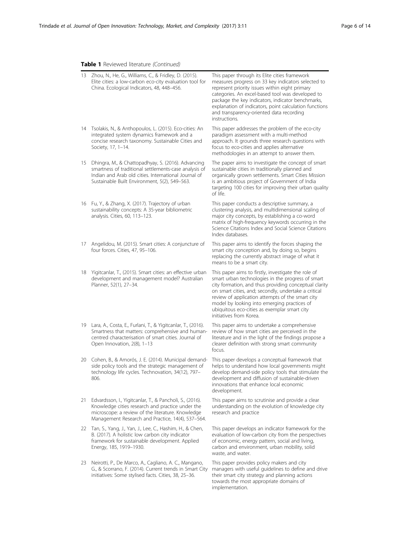# Table 1 Reviewed literature (Continued)

|     | 13 Zhou, N., He, G., Williams, C., & Fridley, D. (2015).<br>Elite cities: a low-carbon eco-city evaluation tool for<br>China. Ecological Indicators, 48, 448-456.                                                      | This paper through its Elite cities framework<br>measures progress on 33 key indicators selected to<br>represent priority issues within eight primary<br>categories. An excel-based tool was developed to<br>package the key indicators, indicator benchmarks,<br>explanation of indicators, point calculation functions<br>and transparency-oriented data recording<br>instructions.                   |
|-----|------------------------------------------------------------------------------------------------------------------------------------------------------------------------------------------------------------------------|---------------------------------------------------------------------------------------------------------------------------------------------------------------------------------------------------------------------------------------------------------------------------------------------------------------------------------------------------------------------------------------------------------|
| 14  | Tsolakis, N., & Anthopoulos, L. (2015). Eco-cities: An<br>integrated system dynamics framework and a<br>concise research taxonomy. Sustainable Cities and<br>Society, 17, 1-14.                                        | This paper addresses the problem of the eco-city<br>paradigm assessment with a multi-method<br>approach. It grounds three research questions with<br>focus to eco-cities and applies alternative<br>methodologies in an attempt to answer them.                                                                                                                                                         |
| 15  | Dhingra, M., & Chattopadhyay, S. (2016). Advancing<br>smartness of traditional settlements-case analysis of<br>Indian and Arab old cities. International Journal of<br>Sustainable Built Environment, 5(2), 549-563.   | The paper aims to investigate the concept of smart<br>sustainable cities in traditionally planned and<br>organically grown settlements. Smart Cities Mission<br>is an ambitious project of Government of India<br>targeting 100 cities for improving their urban quality<br>of life.                                                                                                                    |
|     | 16 Fu, Y., & Zhang, X. (2017). Trajectory of urban<br>sustainability concepts: A 35-year bibliometric<br>analysis. Cities, 60, 113-123.                                                                                | This paper conducts a descriptive summary, a<br>clustering analysis, and multidimensional scaling of<br>major city concepts, by establishing a co-word<br>matrix of high-frequency keywords occurring in the<br>Science Citations Index and Social Science Citations<br>Index databases.                                                                                                                |
| 17  | Angelidou, M. (2015). Smart cities: A conjuncture of<br>four forces. Cities, 47, 95-106.                                                                                                                               | This paper aims to identify the forces shaping the<br>smart city conception and, by doing so, begins<br>replacing the currently abstract image of what it<br>means to be a smart city.                                                                                                                                                                                                                  |
| 18  | Yigitcanlar, T., (2015). Smart cities: an effective urban<br>development and management model? Australian<br>Planner, 52(1), 27-34.                                                                                    | This paper aims to firstly, investigate the role of<br>smart urban technologies in the progress of smart<br>city formation, and thus providing conceptual clarity<br>on smart cities, and; secondly, undertake a critical<br>review of application attempts of the smart city<br>model by looking into emerging practices of<br>ubiquitous eco-cities as exemplar smart city<br>initiatives from Korea. |
| 19  | Lara, A., Costa, E., Furlani, T., & Yigitcanlar, T., (2016).<br>Smartness that matters: comprehensive and human-<br>centred characterisation of smart cities. Journal of<br>Open Innovation, 2(8), 1-13                | This paper aims to undertake a comprehensive<br>review of how smart cities are perceived in the<br>literature and in the light of the findings propose a<br>clearer definition with strong smart community<br>focus.                                                                                                                                                                                    |
| 20  | Cohen, B., & Amorós, J. E. (2014). Municipal demand-<br>side policy tools and the strategic management of<br>technology life cycles. Technovation, 34(12), 797-<br>806.                                                | This paper develops a conceptual framework that<br>helps to understand how local governments might<br>develop demand-side policy tools that stimulate the<br>development and diffusion of sustainable-driven<br>innovations that enhance local economic<br>development.                                                                                                                                 |
| 21. | Edvardsson, I., Yigitcanlar, T., & Pancholi, S., (2016).<br>Knowledge cities research and practice under the<br>microscope: a review of the literature. Knowledge<br>Management Research and Practice, 14(4), 537-564. | This paper aims to scrutinise and provide a clear<br>understanding on the evolution of knowledge city<br>research and practice                                                                                                                                                                                                                                                                          |
|     | 22 Tan, S., Yang, J., Yan, J., Lee, C., Hashim, H., & Chen,<br>B. (2017). A holistic low carbon city indicator<br>framework for sustainable development. Applied<br>Energy, 185, 1919-1930.                            | This paper develops an indicator framework for the<br>evaluation of low-carbon city from the perspectives<br>of economic, energy pattern, social and living,<br>carbon and environment, urban mobility, solid<br>waste, and water.                                                                                                                                                                      |
| 23  | Neirotti, P., De Marco, A., Cagliano, A. C., Mangano,<br>G., & Scorrano, F. (2014). Current trends in Smart City<br>initiatives: Some stylised facts. Cities, 38, 25-36.                                               | This paper provides policy makers and city<br>managers with useful guidelines to define and drive<br>their smart city strategy and planning actions<br>towards the most appropriate domains of<br>implementation.                                                                                                                                                                                       |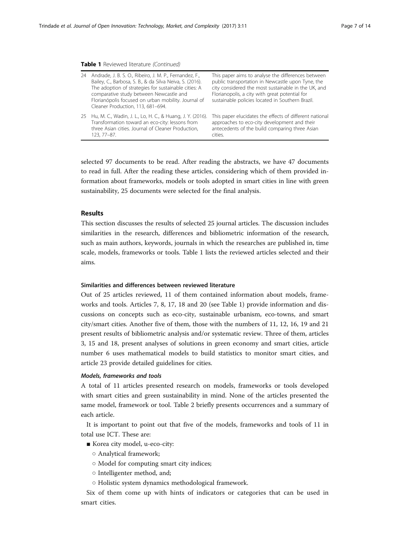#### Table 1 Reviewed literature (Continued)

| 24 | Andrade, J. B. S. O., Ribeiro, J. M. P., Fernandez, F.,<br>Bailey, C., Barbosa, S. B., & da Silva Neiva, S. (2016).<br>The adoption of strategies for sustainable cities: A<br>comparative study between Newcastle and<br>Florianópolis focused on urban mobility. Journal of<br>Cleaner Production, 113, 681-694. | This paper aims to analyse the differences between<br>public transportation in Newcastle upon Tyne, the<br>city considered the most sustainable in the UK, and<br>Florianopolis, a city with great potential for<br>sustainable policies located in Southern Brazil. |
|----|--------------------------------------------------------------------------------------------------------------------------------------------------------------------------------------------------------------------------------------------------------------------------------------------------------------------|----------------------------------------------------------------------------------------------------------------------------------------------------------------------------------------------------------------------------------------------------------------------|
| 25 | Hu, M. C., Wadin, J. L., Lo, H. C., & Huang, J. Y. (2016).<br>Transformation toward an eco-city: lessons from<br>three Asian cities. Journal of Cleaner Production,<br>123, 77-87.                                                                                                                                 | This paper elucidates the effects of different national<br>approaches to eco-city development and their<br>antecedents of the build comparing three Asian<br>cities.                                                                                                 |

selected 97 documents to be read. After reading the abstracts, we have 47 documents to read in full. After the reading these articles, considering which of them provided information about frameworks, models or tools adopted in smart cities in line with green sustainability, 25 documents were selected for the final analysis.

# Results

This section discusses the results of selected 25 journal articles. The discussion includes similarities in the research, differences and bibliometric information of the research, such as main authors, keywords, journals in which the researches are published in, time scale, models, frameworks or tools. Table [1](#page-4-0) lists the reviewed articles selected and their aims.

#### Similarities and differences between reviewed literature

Out of 25 articles reviewed, 11 of them contained information about models, frameworks and tools. Articles 7, 8, 17, 18 and 20 (see Table [1](#page-4-0)) provide information and discussions on concepts such as eco-city, sustainable urbanism, eco-towns, and smart city/smart cities. Another five of them, those with the numbers of 11, 12, 16, 19 and 21 present results of bibliometric analysis and/or systematic review. Three of them, articles 3, 15 and 18, present analyses of solutions in green economy and smart cities, article number 6 uses mathematical models to build statistics to monitor smart cities, and article 23 provide detailed guidelines for cities.

#### Models, frameworks and tools

A total of 11 articles presented research on models, frameworks or tools developed with smart cities and green sustainability in mind. None of the articles presented the same model, framework or tool. Table [2](#page-7-0) briefly presents occurrences and a summary of each article.

It is important to point out that five of the models, frameworks and tools of 11 in total use ICT. These are:

- Korea city model, u-eco-city:
	- Analytical framework;
	- Model for computing smart city indices;
	- Intelligenter method, and;
	- Holistic system dynamics methodological framework.

Six of them come up with hints of indicators or categories that can be used in smart cities.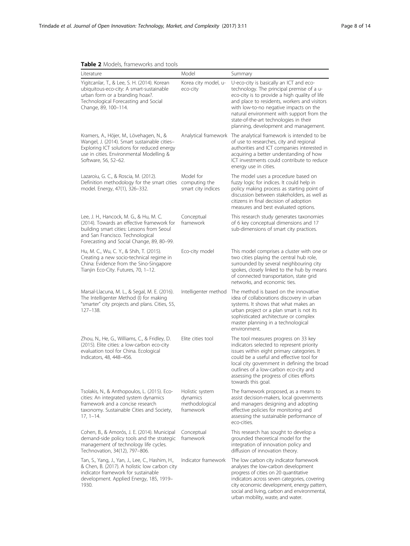| <b>TUDIC</b> $\boldsymbol{\epsilon}$ inducts, that new only and tools<br>Literature                                                                                                                                 | Model                                                      | Summary                                                                                                                                                                                                                                                                                                                                                         |  |
|---------------------------------------------------------------------------------------------------------------------------------------------------------------------------------------------------------------------|------------------------------------------------------------|-----------------------------------------------------------------------------------------------------------------------------------------------------------------------------------------------------------------------------------------------------------------------------------------------------------------------------------------------------------------|--|
| Yigitcanlar, T., & Lee, S. H. (2014). Korean<br>ubiquitous-eco-city: A smart-sustainable<br>urban form or a branding hoax?.<br>Technological Forecasting and Social<br>Change, 89, 100-114.                         | Korea city model, u-<br>eco-city                           | U-eco-city is basically an ICT and eco-<br>technology. The principal premise of a u-<br>eco-city is to provide a high quality of life<br>and place to residents, workers and visitors<br>with low-to-no negative impacts on the<br>natural environment with support from the<br>state-of-the-art technologies in their<br>planning, development and management. |  |
| Kramers, A., Höjer, M., Lövehagen, N., &<br>Wangel, J. (2014). Smart sustainable cities-<br>Exploring ICT solutions for reduced energy<br>use in cities. Environmental Modelling &<br>Software, 56, 52-62.          |                                                            | Analytical framework The analytical framework is intended to be<br>of use to researches, city and regional<br>authorities and ICT companies interested in<br>acquiring a better understanding of how<br>ICT investments could contribute to reduce<br>energy use in cities.                                                                                     |  |
| Lazaroiu, G. C., & Roscia, M. (2012).<br>Definition methodology for the smart cities computing the<br>model. Energy, 47(1), 326-332.                                                                                | Model for<br>smart city indices                            | The model uses a procedure based on<br>fuzzy logic for indices. It could help in<br>policy making process as starting point of<br>discussion between stakeholders, as well as<br>citizens in final decision of adoption<br>measures and best evaluated options.                                                                                                 |  |
| Lee, J. H., Hancock, M. G., & Hu, M. C.<br>(2014). Towards an effective framework for<br>building smart cities: Lessons from Seoul<br>and San Francisco. Technological<br>Forecasting and Social Change, 89, 80-99. | Conceptual<br>framework                                    | This research study generates taxonomies<br>of 6 key conceptual dimensions and 17<br>sub-dimensions of smart city practices.                                                                                                                                                                                                                                    |  |
| Hu, M. C., Wu, C. Y., & Shih, T. (2015).<br>Creating a new socio-technical regime in<br>China: Evidence from the Sino-Singapore<br>Tianjin Eco-City. Futures, 70, 1-12.                                             | Eco-city model                                             | This model comprises a cluster with one or<br>two cities playing the central hub role,<br>surrounded by several neighbouring city<br>spokes, closely linked to the hub by means<br>of connected transportation, state grid<br>networks, and economic ties.                                                                                                      |  |
| Marsal-Llacuna, M. L., & Segal, M. E. (2016).<br>The Intelligenter Method (I) for making<br>"smarter" city projects and plans. Cities, 55,<br>$127 - 138.$                                                          | Intelligenter method                                       | The method is based on the innovative<br>idea of collaborations discovery in urban<br>systems. It shows that what makes an<br>urban project or a plan smart is not its<br>sophisticated architecture or complex<br>master planning in a technological<br>environment.                                                                                           |  |
| Zhou, N., He, G., Williams, C., & Fridley, D.<br>(2015). Elite cities: a low-carbon eco-city<br>evaluation tool for China. Ecological<br>Indicators, 48, 448-456.                                                   | Elite cities tool                                          | The tool measures progress on 33 key<br>indicators selected to represent priority<br>issues within eight primary categories. It<br>could be a useful and effective tool for<br>local city government in defining the broad<br>outlines of a low-carbon eco-city and<br>assessing the progress of cities efforts<br>towards this goal.                           |  |
| Tsolakis, N., & Anthopoulos, L. (2015). Eco-<br>cities: An integrated system dynamics<br>framework and a concise research<br>taxonomy. Sustainable Cities and Society,<br>$17, 1 - 14.$                             | Holistic system<br>dynamics<br>methodological<br>framework | The framework proposed, as a means to<br>assist decision-makers, local governments<br>and managers designing and adopting<br>effective policies for monitoring and<br>assessing the sustainable performance of<br>eco-cities.                                                                                                                                   |  |
| Cohen, B., & Amorós, J. E. (2014). Municipal<br>demand-side policy tools and the strategic<br>management of technology life cycles.<br>Technovation, 34(12), 797-806.                                               | Conceptual<br>framework                                    | This research has sought to develop a<br>grounded theoretical model for the<br>integration of innovation policy and<br>diffusion of innovation theory.                                                                                                                                                                                                          |  |
| Tan, S., Yang, J., Yan, J., Lee, C., Hashim, H.,<br>& Chen, B. (2017). A holistic low carbon city<br>indicator framework for sustainable<br>development. Applied Energy, 185, 1919-<br>1930.                        | Indicator framework                                        | The low carbon city indicator framework<br>analyses the low-carbon development<br>progress of cities on 20 quantitative<br>indicators across seven categories, covering<br>city economic development, energy pattern,<br>social and living, carbon and environmental,                                                                                           |  |

urban mobility, waste, and water.

# <span id="page-7-0"></span>**Table 2** Models, frameworks and tools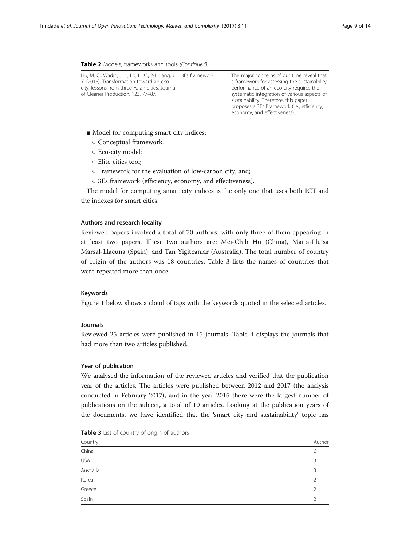#### Table 2 Models, frameworks and tools (Continued)

| Hu, M. C., Wadin, J. L., Lo, H. C., & Huang, J.<br>Y. (2016). Transformation toward an eco-<br>city: lessons from three Asian cities. Journal<br>of Cleaner Production, 123, 77-87. | 3Es framework | The major concerns of our time reveal that<br>a framework for assessing the sustainability<br>performance of an eco-city requires the<br>systematic integration of various aspects of<br>sustainability. Therefore, this paper<br>proposes a 3Es Framework (i.e., efficiency, |
|-------------------------------------------------------------------------------------------------------------------------------------------------------------------------------------|---------------|-------------------------------------------------------------------------------------------------------------------------------------------------------------------------------------------------------------------------------------------------------------------------------|
|                                                                                                                                                                                     |               | economy, and effectiveness).                                                                                                                                                                                                                                                  |

- Model for computing smart city indices:
	- Conceptual framework;
	- Eco-city model;
	- Elite cities tool;
	- Framework for the evaluation of low-carbon city, and;
	- 3Es framework (efficiency, economy, and effectiveness).

The model for computing smart city indices is the only one that uses both ICT and the indexes for smart cities.

#### Authors and research locality

Reviewed papers involved a total of 70 authors, with only three of them appearing in at least two papers. These two authors are: Mei-Chih Hu (China), Maria-Lluïsa Marsal-Llacuna (Spain), and Tan Yigitcanlar (Australia). The total number of country of origin of the authors was 18 countries. Table 3 lists the names of countries that were repeated more than once.

#### Keywords

Figure [1](#page-9-0) below shows a cloud of tags with the keywords quoted in the selected articles.

# Journals

Reviewed 25 articles were published in 15 journals. Table [4](#page-9-0) displays the journals that had more than two articles published.

# Year of publication

We analysed the information of the reviewed articles and verified that the publication year of the articles. The articles were published between 2012 and 2017 (the analysis conducted in February 2017), and in the year 2015 there were the largest number of publications on the subject, a total of 10 articles. Looking at the publication years of the documents, we have identified that the 'smart city and sustainability' topic has

| Country    | Author                   |
|------------|--------------------------|
| China      | 6                        |
| <b>USA</b> | 3                        |
| Australia  | 3                        |
| Korea      | $\overline{\phantom{a}}$ |
| Greece     | $\mathcal{P}$            |
| Spain      | $\mathcal{P}$            |

Table 3 List of country of origin of authors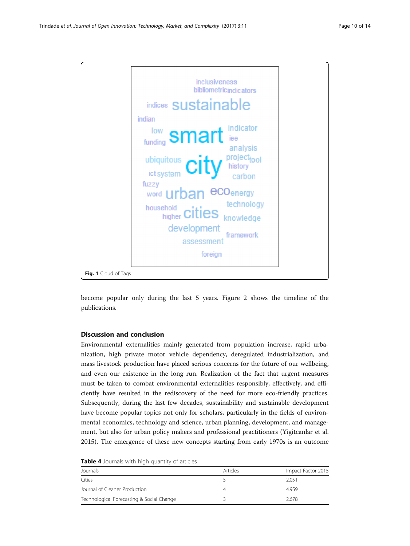<span id="page-9-0"></span>

become popular only during the last 5 years. Figure [2](#page-10-0) shows the timeline of the publications.

# Discussion and conclusion

Environmental externalities mainly generated from population increase, rapid urbanization, high private motor vehicle dependency, deregulated industrialization, and mass livestock production have placed serious concerns for the future of our wellbeing, and even our existence in the long run. Realization of the fact that urgent measures must be taken to combat environmental externalities responsibly, effectively, and efficiently have resulted in the rediscovery of the need for more eco-friendly practices. Subsequently, during the last few decades, sustainability and sustainable development have become popular topics not only for scholars, particularly in the fields of environmental economics, technology and science, urban planning, development, and management, but also for urban policy makers and professional practitioners (Yigitcanlar et al. [2015](#page-13-0)). The emergence of these new concepts starting from early 1970s is an outcome

| Table 4 Journals with high quantity of articles |  |
|-------------------------------------------------|--|
|-------------------------------------------------|--|

| Journals                                  | Articles | Impact Factor 2015 |  |
|-------------------------------------------|----------|--------------------|--|
| Cities                                    |          | 2.051              |  |
| Journal of Cleaner Production             |          | 4959               |  |
| Technological Forecasting & Social Change |          | 2.678              |  |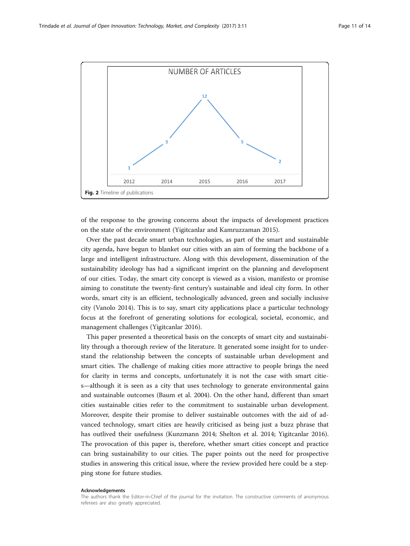<span id="page-10-0"></span>

of the response to the growing concerns about the impacts of development practices on the state of the environment (Yigitcanlar and Kamruzzaman [2015\)](#page-13-0).

Over the past decade smart urban technologies, as part of the smart and sustainable city agenda, have begun to blanket our cities with an aim of forming the backbone of a large and intelligent infrastructure. Along with this development, dissemination of the sustainability ideology has had a significant imprint on the planning and development of our cities. Today, the smart city concept is viewed as a vision, manifesto or promise aiming to constitute the twenty-first century's sustainable and ideal city form. In other words, smart city is an efficient, technologically advanced, green and socially inclusive city (Vanolo [2014\)](#page-12-0). This is to say, smart city applications place a particular technology focus at the forefront of generating solutions for ecological, societal, economic, and management challenges (Yigitcanlar [2016](#page-12-0)).

This paper presented a theoretical basis on the concepts of smart city and sustainability through a thorough review of the literature. It generated some insight for to understand the relationship between the concepts of sustainable urban development and smart cities. The challenge of making cities more attractive to people brings the need for clarity in terms and concepts, unfortunately it is not the case with smart cities—although it is seen as a city that uses technology to generate environmental gains and sustainable outcomes (Baum et al. [2004](#page-11-0)). On the other hand, different than smart cities sustainable cities refer to the commitment to sustainable urban development. Moreover, despite their promise to deliver sustainable outcomes with the aid of advanced technology, smart cities are heavily criticised as being just a buzz phrase that has outlived their usefulness (Kunzmann [2014;](#page-12-0) Shelton et al. [2014](#page-12-0); Yigitcanlar [2016](#page-12-0)). The provocation of this paper is, therefore, whether smart cities concept and practice can bring sustainability to our cities. The paper points out the need for prospective studies in answering this critical issue, where the review provided here could be a stepping stone for future studies.

#### Acknowledgements

The authors thank the Editor-in-Chief of the journal for the invitation. The constructive comments of anonymous referees are also greatly appreciated.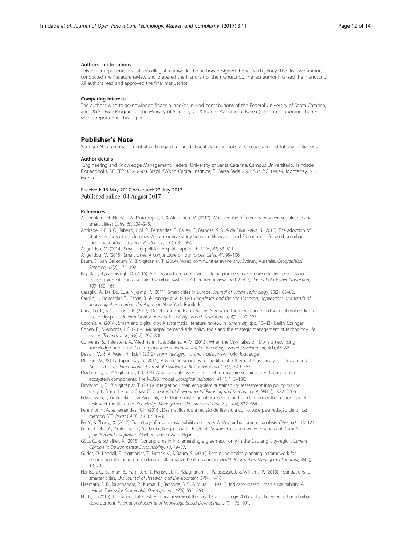#### <span id="page-11-0"></span>Authors' contributions

This paper represents a result of collegial teamwork. The authors designed the research jointly. The first two authors conducted the literature review and prepared the first draft of the manuscript. The last author finalised the manuscript. All authors read and approved the final manuscript.

#### Competing interests

The authors wish to acknowledge financial and/or in-kind contributions of the Federal University of Santa Catarina, and DGIST R&D Program of the Ministry of Science, ICT & Future Planning of Korea (14-IT) in supporting the research reported in this paper.

#### Publisher's Note

Springer Nature remains neutral with regard to jurisdictional claims in published maps and institutional affiliations.

#### Author details

<sup>1</sup>Engineering and Knowledge Management, Federal University of Santa Catarina, Campus Universitário, Trindade, Florianópolis, SC CEP 88040-900, Brazil. <sup>2</sup>World Capital Institute, E. Garza Sada 2501 Sur, P.C. 64849, Monterrey, N.L Mexico.

#### Received: 16 May 2017 Accepted: 22 July 2017 Published online: 04 August 2017

#### References

- Ahvenniemi, H., Huovila, A., Pinto-Seppä, I., & Airaksinen, M. (2017). What are the differences between sustainable and smart cities? Cities, 60, 234–245.
- Andrade, J. B. S. O., Ribeiro, J. M. P., Fernandez, F., Bailey, C., Barbosa, S. B., & da Silva Neiva, S. (2016). The adoption of strategies for sustainable cities: A comparative study between Newcastle and Florianópolis focused on urban mobility. Journal of Cleaner Production, 113, 681–694.
- Angelidou, M. (2014). Smart city policies: A spatial approach. Cities, 41, S3–S11.
- Angelidou, M. (2015). Smart cities: A conjuncture of four forces. Cities, 47, 95–106.
- Baum, S., Van Gellecum, Y., & Yigitcanlar, T. (2004). Wired communities in the city: Sydney, Australia. Geographical Research, 42(2), 175–192.
- Bayulken, B., & Huisingh, D. (2015). Are lessons from eco-towns helping planners make more effective progress in transforming cities into sustainable urban systems: A literature review (part 2 of 2). Journal of Cleaner Production, 109, 152–165.
- Caragliu, A., Del Bo, C., & Nijkamp, P. (2011). Smart cities in Europe. Journal of Urban Technology, 18(2), 65–82.
- Carrillo, J., Yigitcanlar, T., Garcia, B., & Lonnqvist, A. (2014). Knowledge and the city: Concepts, applications and trends of knowledge-based urban development. New York: Routledge.
- Carvalho, L., & Campos, J. B. (2013). Developing the PlanIT Valley: A view on the governance and societal embedding of u-eco city pilots. International Journal of Knowledge-Based Development, 4(2), 109–125.
- Cocchia, A. (2014). Smart and digital city: A systematic literature review. In Smart city (pp. 13–43). Berlin: Springer. Cohen, B., & Amorós, J. E. (2014). Municipal demand-side policy tools and the strategic management of technology life cycles. Technovation, 34(12), 797–806.

Conventz, S., Thierstein, A., Wiedmann, F., & Salama, A. M. (2015). When the Oryx takes off: Doha a new rising knowledge hub in the Gulf region? International Journal of Knowledge-Based Development, 6(1), 65–82.

Deakin, M., & Al Waer, H. (Eds.). (2012). From intelligent to smart cities. New York: Routledge.

Dhingra, M., & Chattopadhyay, S. (2016). Advancing smartness of traditional settlements-case analysis of Indian and Arab old cities. International Journal of Sustainable Built Environment, 5(2), 549–563.

Dizdaroglu, D., & Yigitcanlar, T. (2014). A parcel-scale assessment tool to measure sustainability through urban ecosystem components: The MUSIX model. Ecological Indicators, 41(1), 115–130.

- Dizdaroglu, D., & Yigitcanlar, T. (2016). Integrating urban ecosystem sustainability assessment into policy-making: Insights from the gold Coast City. Journal of Environmental Planning and Management, 59(11), 1982–2006.
- Edvardsson, I., Yigitcanlar, T., & Pancholi, S. (2016). Knowledge cities research and practice under the microscope: A review of the literature. Knowledge Management Research and Practice, 14(4), 537–564.
- Ferenhof, H. A., & Fernandes, R. F. (2016). Desmistificando a revisão de literatura como base para redação científica: método SFF. Revista ACB, 21(3), 550–563.
- Fu, Y., & Zhang, X. (2017). Trajectory of urban sustainability concepts: A 35-year bibliometric analysis. Cities, 60, 113–123. Goonetilleke, A., Yigitcanlar, T., Ayoko, G., & Egodawatta, P. (2014). Sustainable urban water environment: Climate,
- pollution and adaptation. Cheltenham: Edward Elgar.
- Götz, G., & Schäffler, A. (2015). Conundrums in implementing a green economy in the Gauteng City-region. Current Opinion in Environmental Sustainability, 13, 79–87.
- Gudes, O., Kendall, E., Yigitcanlar, T., Pathak, V., & Baum, S. (2010). Rethinking health planning: a framework for organising information to underpin collaborative health planning. Health Information Management Journal, 39(2), 18–29.
- Harrison, C., Eckman, B., Hamilton, R., Hartswick, P., Kalagnanam, J., Paraszczak, J., & Williams, P. (2010). Foundations for smarter cities. IBM Journal of Research and Development, 54(4), 1-16.
- Hiremath, R. B., Balachandra, P., Kumar, B., Bansode, S. S., & Murali, J. (2013). Indicator-based urban sustainability: A review. Energy for Sustainable Development, 17(6), 555–563.
- Hortz, T. (2016). The smart state test: A critical review of the smart state strategy 2005-2015's knowledge-based urban development. International Journal of Knowledge-Based Development, 7(1), 75–101.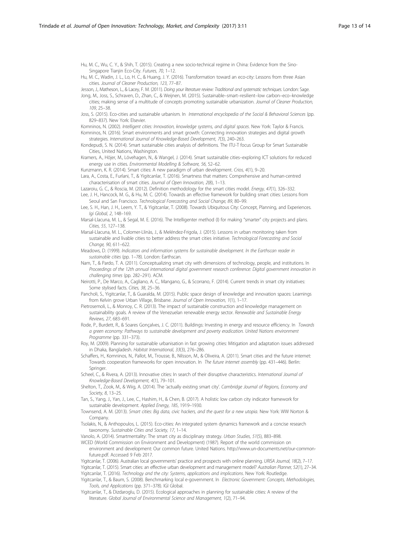<span id="page-12-0"></span>Hu, M. C., Wu, C. Y., & Shih, T. (2015). Creating a new socio-technical regime in China: Evidence from the Sino-Singapore Tianjin Eco-City. Futures, 70, 1–12.

Hu, M. C., Wadin, J. L., Lo, H. C., & Huang, J. Y. (2016). Transformation toward an eco-city: Lessons from three Asian cities. Journal of Cleaner Production, 123, 77–87.

Jesson, J., Matheson, L., & Lacey, F. M. (2011). Doing your literature review: Traditional and systematic techniques. London: Sage. Jong, M., Joss, S., Schraven, D., Zhan, C., & Weijnen, M. (2015). Sustainable–smart–resilient–low carbon–eco–knowledge

cities; making sense of a multitude of concepts promoting sustainable urbanization. Journal of Cleaner Production, 109, 25–38.

Joss, S. (2015). Eco-cities and sustainable urbanism. In International encyclopedia of the Social & Behavioral Sciences (pp. 829–837). New York: Elsevier.

Komninos, N. (2002). Intelligent cities: Innovation, knowledge systems, and digital spaces. New York: Taylor & Francis.

Komninos, N. (2016). Smart environments and smart growth: Connecting innovation strategies and digital growth strategies. International Journal of Knowledge-Based Development, 7(3), 240–263.

Kondepudi, S. N. (2014). Smart sustainable cities analysis of definitions. The ITU-T focus Group for Smart Sustainable Cities, United Nations, Washington.

Kramers, A., Höjer, M., Lövehagen, N., & Wangel, J. (2014). Smart sustainable cities–exploring ICT solutions for reduced energy use in cities. Environmental Modelling & Software, 56, 52–62.

Kunzmann, K. R. (2014). Smart cities: A new paradigm of urban development. Crios, 4(1), 9–20.

Lara, A., Costa, E., Furlani, T., & Yigitcanlar, T. (2016). Smartness that matters: Comprehensive and human-centred characterisation of smart cities. Journal of Open Innovation, 2(8), 1–13.

Lazaroiu, G. C., & Roscia, M. (2012). Definition methodology for the smart cities model. Energy, 47(1), 326-332.

Lee, J. H., Hancock, M. G., & Hu, M. C. (2014). Towards an effective framework for building smart cities: Lessons from Seoul and San Francisco. Technological Forecasting and Social Change, 89, 80–99.

- Lee, S. H., Han, J. H., Leem, Y. T., & Yigitcanlar, T. (2008). Towards Ubiquitous City: Concept, Planning, and Experiences. Igi Global, 2, 148–169.
- Marsal-Llacuna, M. L., & Segal, M. E. (2016). The Intelligenter method (I) for making "smarter" city projects and plans. Cities, 55, 127–138.
- Marsal-Llacuna, M. L., Colomer-Llinàs, J., & Meléndez-Frigola, J. (2015). Lessons in urban monitoring taken from sustainable and livable cities to better address the smart cities initiative. Technological Forecasting and Social Change, 90, 611–622.
- Meadows, D. (1999). Indicators and information systems for sustainable development. In the Earthscan reader in sustainable cities (pp. 1–78). London: Earthscan.
- Nam, T., & Pardo, T. A. (2011). Conceptualizing smart city with dimensions of technology, people, and institutions. In Proceedings of the 12th annual international digital government research conference: Digital government innovation in challenging times (pp. 282–291). ACM.

Neirotti, P., De Marco, A., Cagliano, A. C., Mangano, G., & Scorrano, F. (2014). Current trends in smart city initiatives: Some stylised facts. Cities, 38, 25–36.

Pancholi, S., Yigitcanlar, T., & Guaralda, M. (2015). Public space design of knowledge and innovation spaces: Learnings from Kelvin grove Urban Village, Brisbane. Journal of Open Innovation, 1(1), 1–17.

Pietrosemoli, L., & Monroy, C. R. (2013). The impact of sustainable construction and knowledge management on sustainability goals. A review of the Venezuelan renewable energy sector. Renewable and Sustainable Energy Reviews, 27, 683–691.

Rode, P., Burdett, R., & Soares Gonçalves, J. C. (2011). Buildings: Investing in energy and resource efficiency. In Towards a green economy: Pathways to sustainable development and poverty eradication. United Nations environment Programme (pp. 331–373).

Roy, M. (2009). Planning for sustainable urbanisation in fast growing cities: Mitigation and adaptation issues addressed in Dhaka, Bangladesh. Habitat International, 33(3), 276–286.

Schaffers, H., Komninos, N., Pallot, M., Trousse, B., Nilsson, M., & Oliveira, A. (2011). Smart cities and the future internet: Towards cooperation frameworks for open innovation. In The future internet assembly (pp. 431–446). Berlin: Springer.

Scheel, C., & Rivera, A. (2013). Innovative cities: In search of their disruptive characteristics. International Journal of Knowledge-Based Development, 4(1), 79–101.

Shelton, T., Zook, M., & Wiig, A. (2014). The 'actually existing smart city'. Cambridge Journal of Regions, Economy and Society, 8, 13–25.

Tan, S., Yang, J., Yan, J., Lee, C., Hashim, H., & Chen, B. (2017). A holistic low carbon city indicator framework for sustainable development. Applied Energy, 185, 1919–1930.

Townsend, A. M. (2013). Smart cities: Big data, civic hackers, and the quest for a new utopia. New York: WW Norton & **Company** 

Tsolakis, N., & Anthopoulos, L. (2015). Eco-cities: An integrated system dynamics framework and a concise research taxonomy. Sustainable Cities and Society, 17, 1–14.

Vanolo, A. (2014). Smartmentality: The smart city as disciplinary strategy. Urban Studies, 51(5), 883–898.

WCED (World Commission on Environment and Development) (1987). Report of the world commission on environment and development: Our common future. United Nations. http://www.un-documents.net/our-commonfuture.pdf. Accessed 9 Feb 2017.

Yigitcanlar, T. (2006). Australian local governments' practice and prospects with online planning. URISA Journal, 18(2), 7–17. Yigitcanlar, T. (2015). Smart cities: an effective urban development and management model? Australian Planner, 52(1), 27–34. Yigitcanlar, T. (2016). Technology and the city: Systems, applications and implications. New York: Routledge.

Yigitcanlar, T., & Baum, S. (2008). Benchmarking local e-government. In Electronic Government: Concepts, Methodologies, Tools, and Applications (pp. 371–378). IGI Global.

Yigitcanlar, T., & Dizdaroglu, D. (2015). Ecological approaches in planning for sustainable cities: A review of the literature. Global Journal of Environmental Science and Management, 1(2), 71–94.